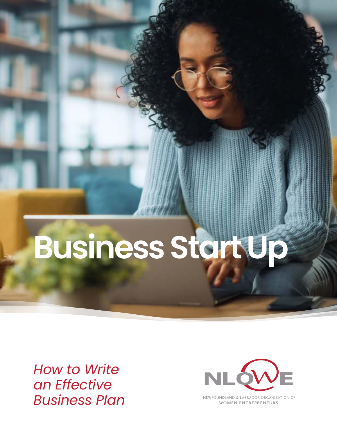# **Business Start Up**

*How to Write an Effective Business Plan*



NEWFOUNDLAND & LABRADOR ORGANIZATION OF **WOMEN ENTREPRENEURS**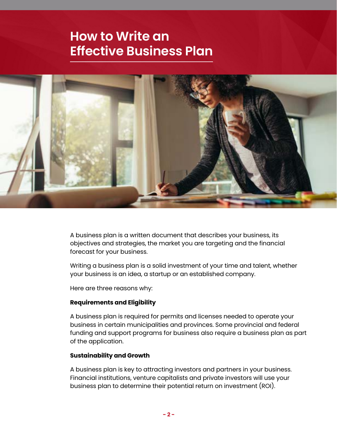## **How to Write an Effective Business Plan**



A business plan is a written document that describes your business, its objectives and strategies, the market you are targeting and the financial forecast for your business.

Writing a business plan is a solid investment of your time and talent, whether your business is an idea, a startup or an established company.

Here are three reasons why:

#### **Requirements and Eligibility**

A business plan is required for permits and licenses needed to operate your business in certain municipalities and provinces. Some provincial and federal funding and support programs for business also require a business plan as part of the application.

#### **Sustainability and Growth**

A business plan is key to attracting investors and partners in your business. Financial institutions, venture capitalists and private investors will use your business plan to determine their potential return on investment (ROI).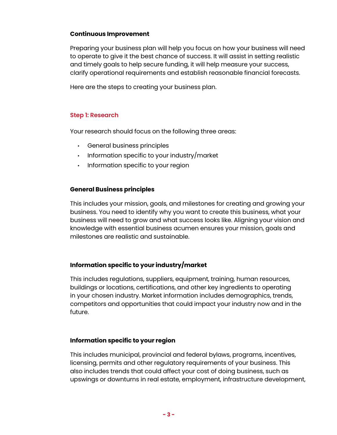#### **Continuous Improvement**

Preparing your business plan will help you focus on how your business will need to operate to give it the best chance of success. It will assist in setting realistic and timely goals to help secure funding, it will help measure your success, clarify operational requirements and establish reasonable financial forecasts.

Here are the steps to creating your business plan.

#### **Step 1: Research**

Your research should focus on the following three areas:

- General business principles
- Information specific to your industry/market
- Information specific to your region

#### **General Business principles**

This includes your mission, goals, and milestones for creating and growing your business. You need to identify why you want to create this business, what your business will need to grow and what success looks like. Aligning your vision and knowledge with essential business acumen ensures your mission, goals and milestones are realistic and sustainable.

#### **Information specific to your industry/market**

This includes regulations, suppliers, equipment, training, human resources, buildings or locations, certifications, and other key ingredients to operating in your chosen industry. Market information includes demographics, trends, competitors and opportunities that could impact your industry now and in the future.

#### **Information specific to your region**

This includes municipal, provincial and federal bylaws, programs, incentives, licensing, permits and other regulatory requirements of your business. This also includes trends that could affect your cost of doing business, such as upswings or downturns in real estate, employment, infrastructure development,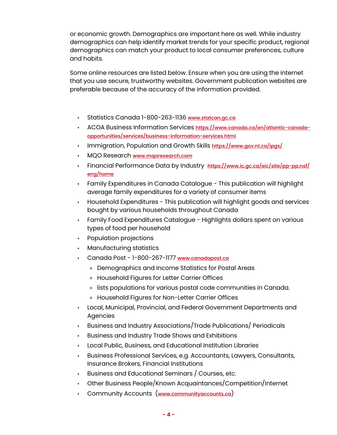or economic growth. Demographics are important here as well. While industry demographics can help identify market trends for your specific product, regional demographics can match your product to local consumer preferences, culture and habits.

Some online resources are listed below. Ensure when you are using the internet that you use secure, trustworthy websites. Government publication websites are preferable because of the accuracy of the information provided.

- Statistics Canada 1-800-263-1136 **[www.statcan.gc.ca](http://www.statcan.gc.ca)**
- ACOA Business Information Services **[https://www.canada.ca/en/atlantic-canada](https://www.canada.ca/en/atlantic-canada-opportunities/services/business-information-services.html)[opportunities/services/business-information-services.html](https://www.canada.ca/en/atlantic-canada-opportunities/services/business-information-services.html)**
- Immigration, Population and Growth Skills **<https://www.gov.nl.ca/ipgs/>**
- MQO Research **[www.mqoresearch.com](http://www.mqoresearch.com)**
- Financial Performance Data by Industry **[https://www.ic.gc.ca/eic/site/pp-pp.nsf/](https://www.ic.gc.ca/eic/site/pp-pp.nsf/eng/home) [eng/home](https://www.ic.gc.ca/eic/site/pp-pp.nsf/eng/home)**
- Family Expenditures in Canada Catalogue This publication will highlight average family expenditures for a variety of consumer items
- Household Expenditures This publication will highlight goods and services bought by various households throughout Canada
- Family Food Expenditures Catalogue Highlights dollars spent on various types of food per household
- Population projections
- Manufacturing statistics
- Canada Post 1-800-267-1177 **[www.canadapost.ca](http://www.canadapost.ca)**
	- ◊ Demographics and Income Statistics for Postal Areas
	- ◊ Household Figures for Letter Carrier Offices
	- ◊ lists populations for various postal code communities in Canada.
	- ◊ Household Figures for Non-Letter Carrier Offices
- Local, Municipal, Provincial, and Federal Government Departments and Agencies
- Business and Industry Associations/Trade Publications/ Periodicals
- Business and Industry Trade Shows and Exhibitions
- Local Public, Business, and Educational Institution Libraries
- Business Professional Services, e.g. Accountants, Lawyers, Consultants, Insurance Brokers, Financial Institutions
- Business and Educational Seminars / Courses, etc.
- Other Business People/Known Acquaintances/Competition/Internet
- Community Accounts (**[www.communityaccounts.ca](http://www.communityaccounts.ca)**)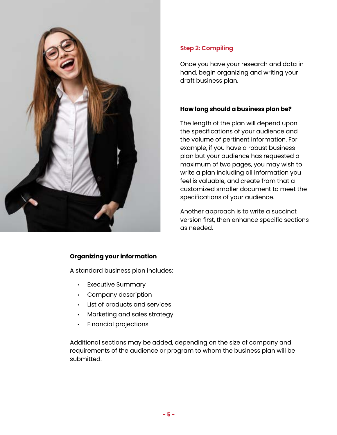

### **Step 2: Compiling**

Once you have your research and data in hand, begin organizing and writing your draft business plan.

#### **How long should a business plan be?**

The length of the plan will depend upon the specifications of your audience and the volume of pertinent information. For example, if you have a robust business plan but your audience has requested a maximum of two pages, you may wish to write a plan including all information you feel is valuable, and create from that a customized smaller document to meet the specifications of your audience.

Another approach is to write a succinct version first, then enhance specific sections as needed.

#### **Organizing your information**

A standard business plan includes:

- Executive Summary
- Company description
- List of products and services
- Marketing and sales strategy
- Financial projections

Additional sections may be added, depending on the size of company and requirements of the audience or program to whom the business plan will be submitted.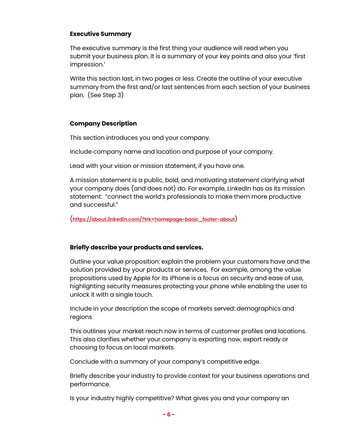#### **Executive Summary**

The executive summary is the first thing your audience will read when you submit your business plan. It is a summary of your key points and also your 'first impression.'

Write this section last, in two pages or less. Create the outline of your executive summary from the first and/or last sentences from each section of your business plan. (See Step 3)

#### **Company Description**

This section introduces you and your company.

Include company name and location and purpose of your company.

Lead with your vision or mission statement, if you have one.

A mission statement is a public, bold, and motivating statement clarifying what your company does (and does not) do. For example, LinkedIn has as its mission statement: "connect the world's professionals to make them more productive and successful."

(**[https://about.linkedin.com/?trk=homepage-basic\\_footer-about](https://about.linkedin.com/?trk=homepage-basic_footer-about)**)

#### **Briefly describe your products and services.**

Outline your value proposition: explain the problem your customers have and the solution provided by your products or services. For example, among the value propositions used by Apple for its iPhone is a focus on security and ease of use, highlighting security measures protecting your phone while enabling the user to unlock it with a single touch.

Include in your description the scope of markets served: demographics and regions

This outlines your market reach now in terms of customer profiles and locations. This also clarifies whether your company is exporting now, export ready or choosing to focus on local markets.

Conclude with a summary of your company's competitive edge.

Briefly describe your industry to provide context for your business operations and performance.

Is your industry highly competitive? What gives you and your company an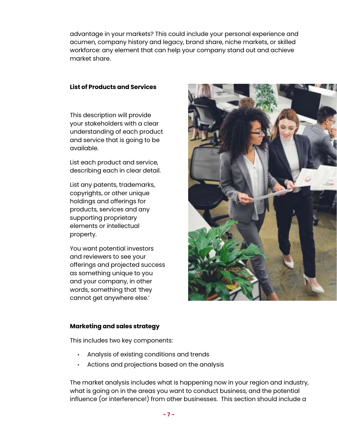advantage in your markets? This could include your personal experience and acumen, company history and legacy, brand share, niche markets, or skilled workforce: any element that can help your company stand out and achieve market share.

#### **List of Products and Services**

This description will provide your stakeholders with a clear understanding of each product and service that is going to be available.

List each product and service, describing each in clear detail.

List any patents, trademarks, copyrights, or other unique holdings and offerings for products, services and any supporting proprietary elements or intellectual property.

You want potential investors and reviewers to see your offerings and projected success as something unique to you and your company, in other words, something that 'they cannot get anywhere else.'



#### **Marketing and sales strategy**

This includes two key components:

- Analysis of existing conditions and trends
- Actions and projections based on the analysis

The market analysis includes what is happening now in your region and industry, what is going on in the areas you want to conduct business, and the potential influence (or interference!) from other businesses. This section should include a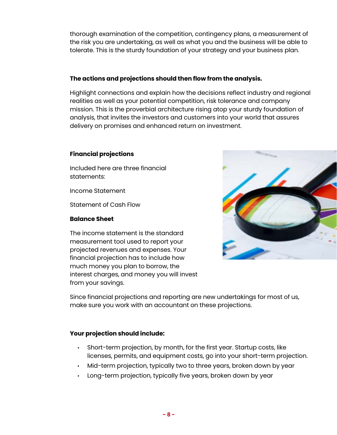thorough examination of the competition, contingency plans, a measurement of the risk you are undertaking, as well as what you and the business will be able to tolerate. This is the sturdy foundation of your strategy and your business plan.

#### **The actions and projections should then flow from the analysis.**

Highlight connections and explain how the decisions reflect industry and regional realities as well as your potential competition, risk tolerance and company mission. This is the proverbial architecture rising atop your sturdy foundation of analysis, that invites the investors and customers into your world that assures delivery on promises and enhanced return on investment.

#### **Financial projections**

Included here are three financial statements:

Income Statement

Statement of Cash Flow

#### **Balance Sheet**

The income statement is the standard measurement tool used to report your projected revenues and expenses. Your financial projection has to include how much money you plan to borrow, the interest charges, and money you will invest from your savings.



Since financial projections and reporting are new undertakings for most of us, make sure you work with an accountant on these projections.

#### **Your projection should include:**

- Short-term projection, by month, for the first year. Startup costs, like licenses, permits, and equipment costs, go into your short-term projection.
- Mid-term projection, typically two to three years, broken down by year
- Long-term projection, typically five years, broken down by year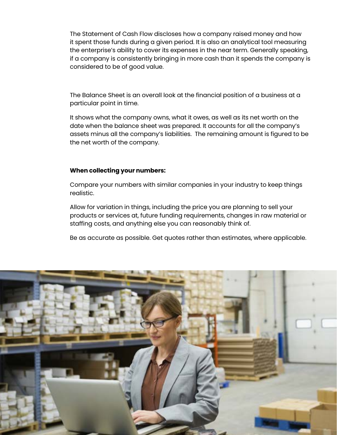The Statement of Cash Flow discloses how a company raised money and how it spent those funds during a given period. It is also an analytical tool measuring the enterprise's ability to cover its expenses in the near term. Generally speaking, if a company is consistently bringing in more cash than it spends the company is considered to be of good value.

The Balance Sheet is an overall look at the financial position of a business at a particular point in time.

It shows what the company owns, what it owes, as well as its net worth on the date when the balance sheet was prepared. It accounts for all the company's assets minus all the company's liabilities. The remaining amount is figured to be the net worth of the company.

#### **When collecting your numbers:**

Compare your numbers with similar companies in your industry to keep things realistic.

Allow for variation in things, including the price you are planning to sell your products or services at, future funding requirements, changes in raw material or staffing costs, and anything else you can reasonably think of.

Be as accurate as possible. Get quotes rather than estimates, where applicable.

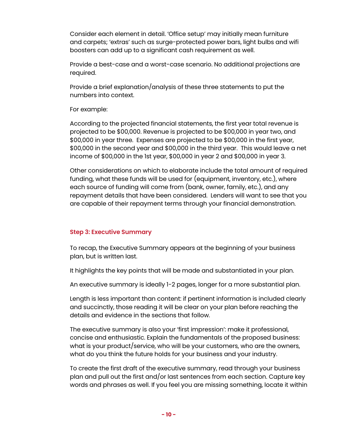Consider each element in detail. 'Office setup' may initially mean furniture and carpets; 'extras' such as surge-protected power bars, light bulbs and wifi boosters can add up to a significant cash requirement as well.

Provide a best-case and a worst-case scenario. No additional projections are required.

Provide a brief explanation/analysis of these three statements to put the numbers into context.

#### For example:

According to the projected financial statements, the first year total revenue is projected to be \$00,000. Revenue is projected to be \$00,000 in year two, and \$00,000 in year three. Expenses are projected to be \$00,000 in the first year, \$00,000 in the second year and \$00,000 in the third year. This would leave a net income of \$00,000 in the 1st year, \$00,000 in year 2 and \$00,000 in year 3.

Other considerations on which to elaborate include the total amount of required funding, what these funds will be used for (equipment, inventory, etc.), where each source of funding will come from (bank, owner, family, etc.), and any repayment details that have been considered. Lenders will want to see that you are capable of their repayment terms through your financial demonstration.

#### **Step 3: Executive Summary**

To recap, the Executive Summary appears at the beginning of your business plan, but is written last.

It highlights the key points that will be made and substantiated in your plan.

An executive summary is ideally 1-2 pages, longer for a more substantial plan.

Length is less important than content: if pertinent information is included clearly and succinctly, those reading it will be clear on your plan before reaching the details and evidence in the sections that follow.

The executive summary is also your 'first impression': make it professional, concise and enthusiastic. Explain the fundamentals of the proposed business: what is your product/service, who will be your customers, who are the owners, what do you think the future holds for your business and your industry.

To create the first draft of the executive summary, read through your business plan and pull out the first and/or last sentences from each section. Capture key words and phrases as well. If you feel you are missing something, locate it within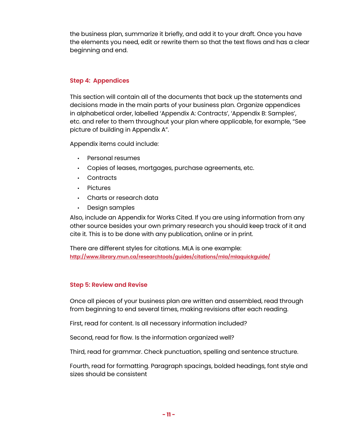the business plan, summarize it briefly, and add it to your draft. Once you have the elements you need, edit or rewrite them so that the text flows and has a clear beginning and end.

#### **Step 4: Appendices**

This section will contain all of the documents that back up the statements and decisions made in the main parts of your business plan. Organize appendices in alphabetical order, labelled 'Appendix A: Contracts', 'Appendix B: Samples', etc. and refer to them throughout your plan where applicable, for example, "See picture of building in Appendix A".

Appendix items could include:

- Personal resumes
- Copies of leases, mortgages, purchase agreements, etc.
- Contracts
- Pictures
- Charts or research data
- Design samples

Also, include an Appendix for Works Cited. If you are using information from any other source besides your own primary research you should keep track of it and cite it. This is to be done with any publication, online or in print.

There are different styles for citations. MLA is one example: **<http://www.library.mun.ca/researchtools/guides/citations/mla/mlaquickguide/>**

#### **Step 5: Review and Revise**

Once all pieces of your business plan are written and assembled, read through from beginning to end several times, making revisions after each reading.

First, read for content. Is all necessary information included?

Second, read for flow. Is the information organized well?

Third, read for grammar. Check punctuation, spelling and sentence structure.

Fourth, read for formatting. Paragraph spacings, bolded headings, font style and sizes should be consistent